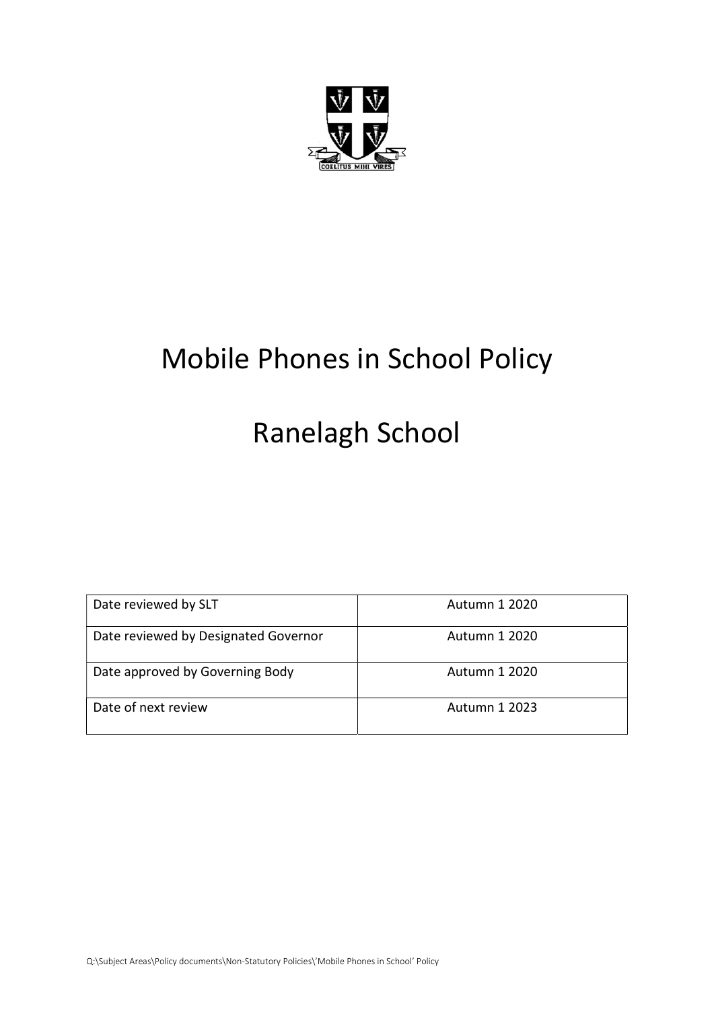

## Mobile Phones in School Policy

# Ranelagh School

| Date reviewed by SLT                 | Autumn 1 2020        |
|--------------------------------------|----------------------|
| Date reviewed by Designated Governor | Autumn 1 2020        |
| Date approved by Governing Body      | Autumn 1 2020        |
| Date of next review                  | <b>Autumn 1 2023</b> |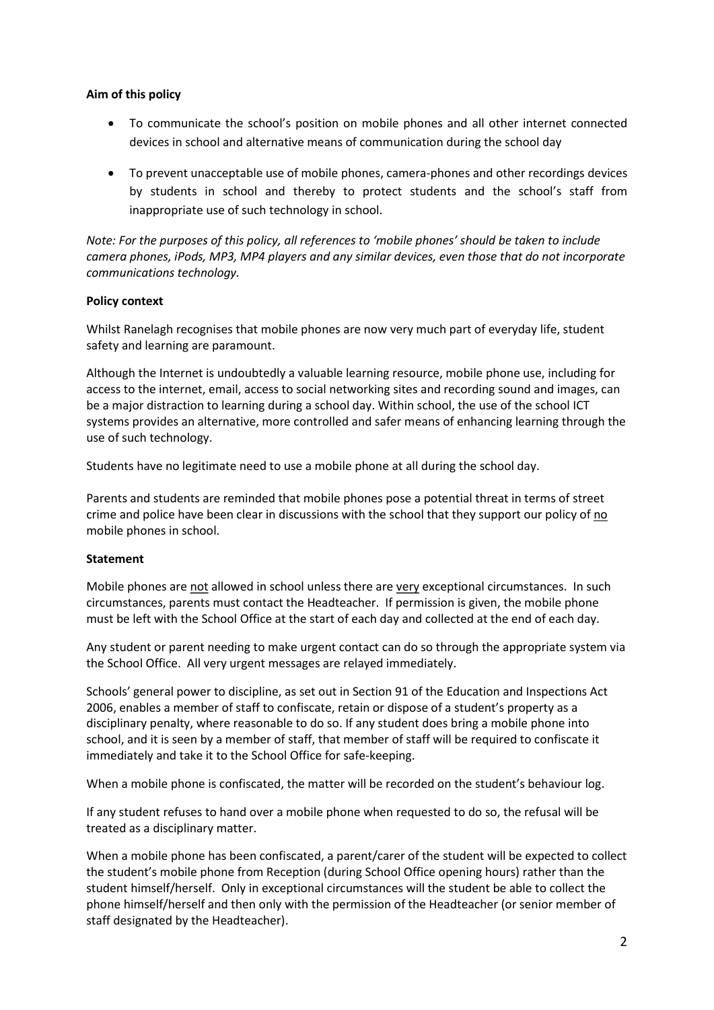#### Aim of this policy

- To communicate the school's position on mobile phones and all other internet connected devices in school and alternative means of communication during the school day
- To prevent unacceptable use of mobile phones, camera-phones and other recordings devices by students in school and thereby to protect students and the school's staff from inappropriate use of such technology in school.

Note: For the purposes of this policy, all references to 'mobile phones' should be taken to include camera phones, iPods, MP3, MP4 players and any similar devices, even those that do not incorporate communications technology.

#### Policy context

Whilst Ranelagh recognises that mobile phones are now very much part of everyday life, student safety and learning are paramount.

Although the Internet is undoubtedly a valuable learning resource, mobile phone use, including for access to the internet, email, access to social networking sites and recording sound and images, can be a major distraction to learning during a school day. Within school, the use of the school ICT systems provides an alternative, more controlled and safer means of enhancing learning through the use of such technology.

Students have no legitimate need to use a mobile phone at all during the school day.

Parents and students are reminded that mobile phones pose a potential threat in terms of street crime and police have been clear in discussions with the school that they support our policy of no mobile phones in school.

#### Statement

Mobile phones are not allowed in school unless there are very exceptional circumstances. In such circumstances, parents must contact the Headteacher. If permission is given, the mobile phone must be left with the School Office at the start of each day and collected at the end of each day.

Any student or parent needing to make urgent contact can do so through the appropriate system via the School Office. All very urgent messages are relayed immediately.

Schools' general power to discipline, as set out in Section 91 of the Education and Inspections Act 2006, enables a member of staff to confiscate, retain or dispose of a student's property as a disciplinary penalty, where reasonable to do so. If any student does bring a mobile phone into school, and it is seen by a member of staff, that member of staff will be required to confiscate it immediately and take it to the School Office for safe-keeping.

When a mobile phone is confiscated, the matter will be recorded on the student's behaviour log.

If any student refuses to hand over a mobile phone when requested to do so, the refusal will be treated as a disciplinary matter.

When a mobile phone has been confiscated, a parent/carer of the student will be expected to collect the student's mobile phone from Reception (during School Office opening hours) rather than the student himself/herself. Only in exceptional circumstances will the student be able to collect the phone himself/herself and then only with the permission of the Headteacher (or senior member of staff designated by the Headteacher).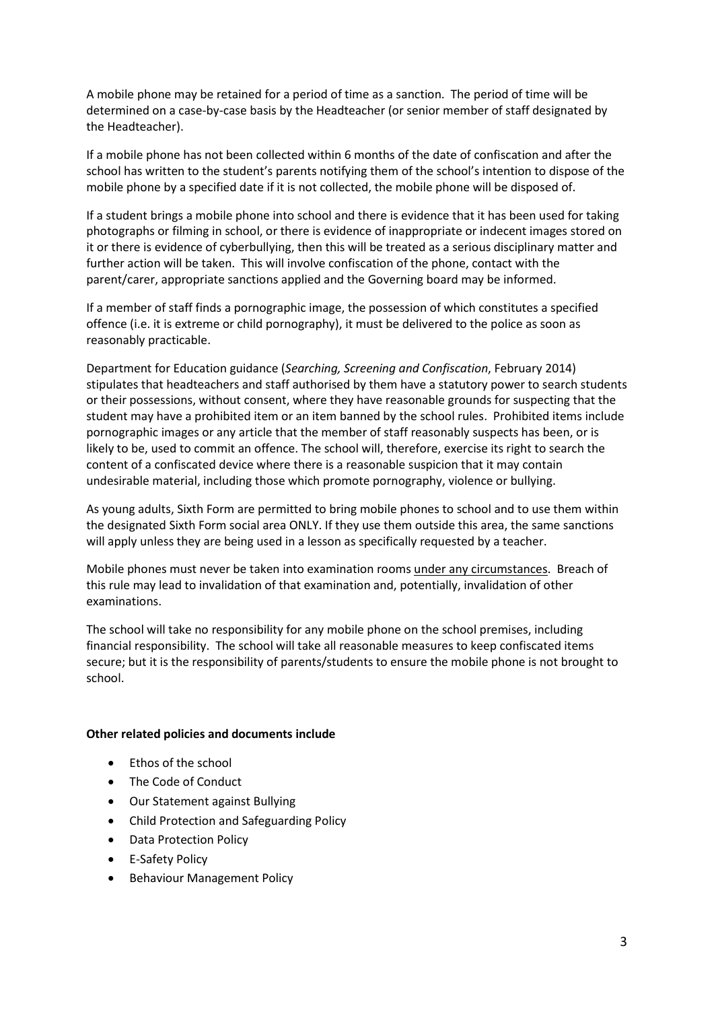A mobile phone may be retained for a period of time as a sanction. The period of time will be determined on a case-by-case basis by the Headteacher (or senior member of staff designated by the Headteacher).

If a mobile phone has not been collected within 6 months of the date of confiscation and after the school has written to the student's parents notifying them of the school's intention to dispose of the mobile phone by a specified date if it is not collected, the mobile phone will be disposed of.

If a student brings a mobile phone into school and there is evidence that it has been used for taking photographs or filming in school, or there is evidence of inappropriate or indecent images stored on it or there is evidence of cyberbullying, then this will be treated as a serious disciplinary matter and further action will be taken. This will involve confiscation of the phone, contact with the parent/carer, appropriate sanctions applied and the Governing board may be informed.

If a member of staff finds a pornographic image, the possession of which constitutes a specified offence (i.e. it is extreme or child pornography), it must be delivered to the police as soon as reasonably practicable.

Department for Education guidance (Searching, Screening and Confiscation, February 2014) stipulates that headteachers and staff authorised by them have a statutory power to search students or their possessions, without consent, where they have reasonable grounds for suspecting that the student may have a prohibited item or an item banned by the school rules. Prohibited items include pornographic images or any article that the member of staff reasonably suspects has been, or is likely to be, used to commit an offence. The school will, therefore, exercise its right to search the content of a confiscated device where there is a reasonable suspicion that it may contain undesirable material, including those which promote pornography, violence or bullying.

As young adults, Sixth Form are permitted to bring mobile phones to school and to use them within the designated Sixth Form social area ONLY. If they use them outside this area, the same sanctions will apply unless they are being used in a lesson as specifically requested by a teacher.

Mobile phones must never be taken into examination rooms under any circumstances. Breach of this rule may lead to invalidation of that examination and, potentially, invalidation of other examinations.

The school will take no responsibility for any mobile phone on the school premises, including financial responsibility. The school will take all reasonable measures to keep confiscated items secure; but it is the responsibility of parents/students to ensure the mobile phone is not brought to school.

#### Other related policies and documents include

- Ethos of the school
- The Code of Conduct
- Our Statement against Bullying
- Child Protection and Safeguarding Policy
- Data Protection Policy
- E-Safety Policy
- Behaviour Management Policy